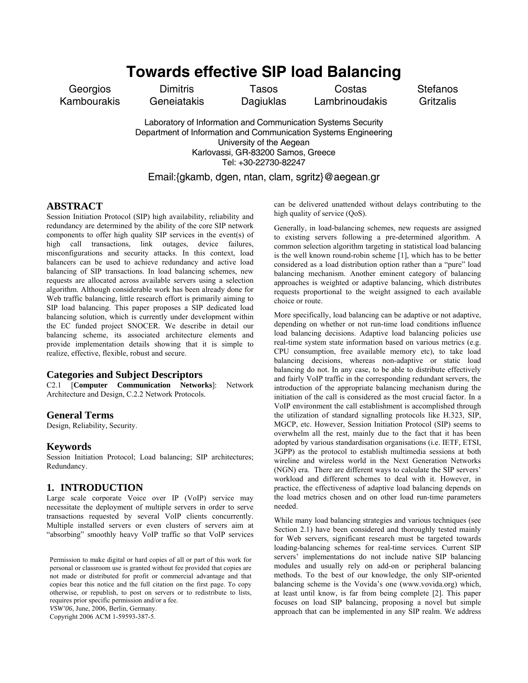# **Towards effective SIP load Balancing**

**Georgios** Kambourakis

**Dimitris Geneiatakis** 

Tasos **Dagiuklas** 

Costas Lambrinoudakis Stefanos **Gritzalis** 

Laboratory of Information and Communication Systems Security Department of Information and Communication Systems Engineering University of the Aegean Karlovassi, GR-83200 Samos, Greece Tel: +30-22730-82247

### Email:{gkamb, dgen, ntan, clam, sgritz}@aegean.gr

### **ABSTRACT**

Session Initiation Protocol (SIP) high availability, reliability and redundancy are determined by the ability of the core SIP network components to offer high quality SIP services in the event(s) of high call transactions, link outages, device failures, misconfigurations and security attacks. In this context, load balancers can be used to achieve redundancy and active load balancing of SIP transactions. In load balancing schemes, new requests are allocated across available servers using a selection algorithm. Although considerable work has been already done for Web traffic balancing, little research effort is primarily aiming to SIP load balancing. This paper proposes a SIP dedicated load balancing solution, which is currently under development within the EC funded project SNOCER. We describe in detail our balancing scheme, its associated architecture elements and provide implementation details showing that it is simple to realize, effective, flexible, robust and secure.

### **Categories and Subject Descriptors**

C2.1 [**Computer Communication Networks**]: Network Architecture and Design, C.2.2 Network Protocols.

### **General Terms**

Design, Reliability, Security.

### **Keywords**

Session Initiation Protocol; Load balancing; SIP architectures; Redundancy.

### **1. INTRODUCTION**

Large scale corporate Voice over IP (VoIP) service may necessitate the deployment of multiple servers in order to serve transactions requested by several VoIP clients concurrently. Multiple installed servers or even clusters of servers aim at "absorbing" smoothly heavy VoIP traffic so that VoIP services

Permission to make digital or hard copies of all or part of this work for personal or classroom use is granted without fee provided that copies are not made or distributed for profit or commercial advantage and that copies bear this notice and the full citation on the first page. To copy otherwise, or republish, to post on servers or to redistribute to lists, requires prior specific permission and/or a fee. *VSW'06*, June, 2006, Berlin, Germany.

Copyright 2006 ACM 1-59593-387-5.

can be delivered unattended without delays contributing to the high quality of service (QoS).

Generally, in load-balancing schemes, new requests are assigned to existing servers following a pre-determined algorithm. A common selection algorithm targeting in statistical load balancing is the well known round-robin scheme [1], which has to be better considered as a load distribution option rather than a "pure" load balancing mechanism. Another eminent category of balancing approaches is weighted or adaptive balancing, which distributes requests proportional to the weight assigned to each available choice or route.

More specifically, load balancing can be adaptive or not adaptive, depending on whether or not run-time load conditions influence load balancing decisions. Adaptive load balancing policies use real-time system state information based on various metrics (e.g. CPU consumption, free available memory etc), to take load balancing decisions, whereas non-adaptive or static load balancing do not. In any case, to be able to distribute effectively and fairly VoIP traffic in the corresponding redundant servers, the introduction of the appropriate balancing mechanism during the initiation of the call is considered as the most crucial factor. In a VoIP environment the call establishment is accomplished through the utilization of standard signalling protocols like H.323, SIP, MGCP, etc. However, Session Initiation Protocol (SIP) seems to overwhelm all the rest, mainly due to the fact that it has been adopted by various standardisation organisations (i.e. IETF, ETSI, 3GPP) as the protocol to establish multimedia sessions at both wireline and wireless world in the Next Generation Networks (NGN) era. There are different ways to calculate the SIP servers' workload and different schemes to deal with it. However, in practice, the effectiveness of adaptive load balancing depends on the load metrics chosen and on other load run-time parameters needed.

While many load balancing strategies and various techniques (see Section 2.1) have been considered and thoroughly tested mainly for Web servers, significant research must be targeted towards loading-balancing schemes for real-time services. Current SIP servers' implementations do not include native SIP balancing modules and usually rely on add-on or peripheral balancing methods. To the best of our knowledge, the only SIP-oriented balancing scheme is the Vovida's one (www.vovida.org) which, at least until know, is far from being complete [2]. This paper focuses on load SIP balancing, proposing a novel but simple approach that can be implemented in any SIP realm. We address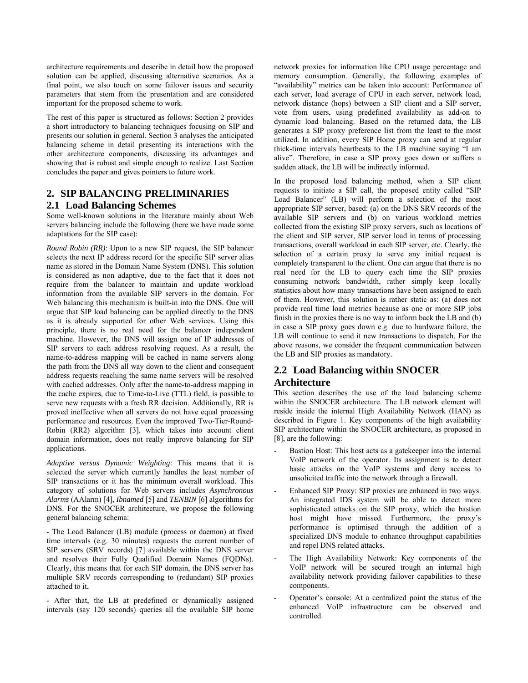architecture requirements and describe in detail how the proposed solution can be applied, discussing alternative scenarios. As a final point, we also touch on some failover issues and security parameters that stem from the presentation and are considered important for the proposed scheme to work.

The rest of this paper is structured as follows: Section 2 provides a short introductory to balancing techniques focusing on SIP and presents our solution in general. Section 3 analyses the anticipated balancing scheme in detail presenting its interactions with the other architecture components, discussing its advantages and showing that is robust and simple enough to realize. Last Section concludes the paper and gives pointers to future work.

# **2. SIP BALANCING PRELIMINARIES**

### **2.1 Load Balancing Schemes**

Some well-known solutions in the literature mainly about Web servers balancing include the following (here we have made some adaptations for the SIP case):

*Round Robin (RR)*: Upon to a new SIP request, the SIP balancer selects the next IP address record for the specific SIP server alias name as stored in the Domain Name System (DNS). This solution is considered as non adaptive, due to the fact that it does not require from the balancer to maintain and update workload information from the available SIP servers in the domain. For Web balancing this mechanism is built-in into the DNS. One will argue that SIP load balancing can be applied directly to the DNS as it is already supported for other Web services. Using this principle, there is no real need for the balancer independent machine. However, the DNS will assign one of IP addresses of SIP servers to each address resolving request. As a result, the name-to-address mapping will be cached in name servers along the path from the DNS all way down to the client and consequent address requests reaching the same name servers will be resolved with cached addresses. Only after the name-to-address mapping in the cache expires, due to Time-to-Live (TTL) field, is possible to serve new requests with a fresh RR decision. Additionally, RR is proved ineffective when all servers do not have equal processing performance and resources. Even the improved Two-Tier-Round-Robin (RR2) algorithm [3], which takes into account client domain information, does not really improve balancing for SIP applications.

*Adaptive versus Dynamic Weighting*: This means that it is selected the server which currently handles the least number of SIP transactions or it has the minimum overall workload. This category of solutions for Web servers includes *Asynchronous Alarms* (AAlarm) [4], *Ibnamed* [5] and *TENBIN* [6] algorithms for DNS. For the SNOCER architecture, we propose the following general balancing schema:

- The Load Balancer (LB) module (process or daemon) at fixed time intervals (e.g. 30 minutes) requests the current number of SIP servers (SRV records) [7] available within the DNS server and resolves their Fully Qualified Domain Names (FQDNs). Clearly, this means that for each SIP domain, the DNS server has multiple SRV records corresponding to (redundant) SIP proxies attached to it.

- After that, the LB at predefined or dynamically assigned intervals (say 120 seconds) queries all the available SIP home network proxies for information like CPU usage percentage and memory consumption. Generally, the following examples of "availability" metrics can be taken into account: Performance of each server, load average of CPU in each server, network load, network distance (hops) between a SIP client and a SIP server, vote from users, using predefined availability as add-on to dynamic load balancing. Based on the returned data, the LB generates a SIP proxy preference list from the least to the most utilized. In addition, every SIP Home proxy can send at regular thick-time intervals heartbeats to the LB machine saying "I am alive". Therefore, in case a SIP proxy goes down or suffers a sudden attack, the LB will be indirectly informed.

In the proposed load balancing method, when a SIP client requests to initiate a SIP call, the proposed entity called "SIP Load Balancer" (LB) will perform a selection of the most appropriate SIP server, based: (a) on the DNS SRV records of the available SIP servers and (b) on various workload metrics collected from the existing SIP proxy servers, such as locations of the client and SIP server, SIP server load in terms of processing transactions, overall workload in each SIP server, etc. Clearly, the selection of a certain proxy to serve any initial request is completely transparent to the client. One can argue that there is no real need for the LB to query each time the SIP proxies consuming network bandwidth, rather simply keep locally statistics about how many transactions have been assigned to each of them. However, this solution is rather static as: (a) does not provide real time load metrics because as one or more SIP jobs finish in the proxies there is no way to inform back the LB and (b) in case a SIP proxy goes down e.g. due to hardware failure, the LB will continue to send it new transactions to dispatch. For the above reasons, we consider the frequent communication between the LB and SIP proxies as mandatory.

## **2.2 Load Balancing within SNOCER Architecture**

This section describes the use of the load balancing scheme within the SNOCER architecture. The LB network element will reside inside the internal High Availability Network (HAN) as described in Figure 1. Key components of the high availability SIP architecture within the SNOCER architecture, as proposed in [8], are the following:

- Bastion Host: This host acts as a gatekeeper into the internal VoIP network of the operator. Its assignment is to detect basic attacks on the VoIP systems and deny access to unsolicited traffic into the network through a firewall.
- Enhanced SIP Proxy: SIP proxies are enhanced in two ways. An integrated IDS system will be able to detect more sophisticated attacks on the SIP proxy, which the bastion host might have missed. Furthermore, the proxy's performance is optimised through the addition of a specialized DNS module to enhance throughput capabilities and repel DNS related attacks.
- The High Availability Network: Key components of the VoIP network will be secured trough an internal high availability network providing failover capabilities to these components.
- Operator's console: At a centralized point the status of the enhanced VoIP infrastructure can be observed and controlled.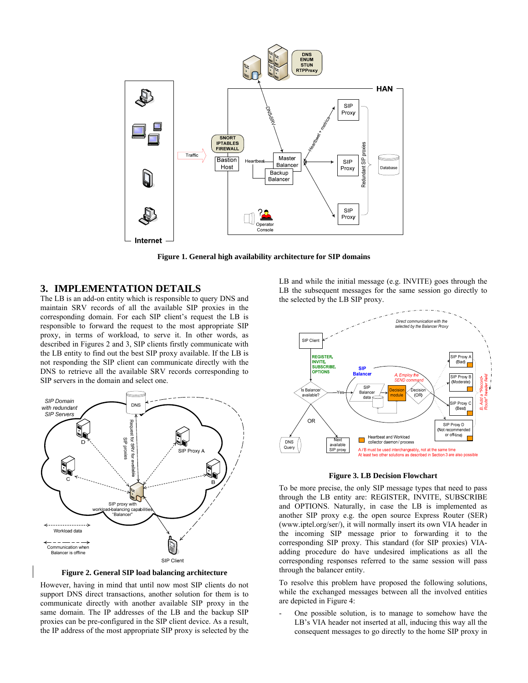

**Figure 1. General high availability architecture for SIP domains** 

### **3. IMPLEMENTATION DETAILS**

The LB is an add-on entity which is responsible to query DNS and maintain SRV records of all the available SIP proxies in the corresponding domain. For each SIP client's request the LB is responsible to forward the request to the most appropriate SIP proxy, in terms of workload, to serve it. In other words, as described in Figures 2 and 3, SIP clients firstly communicate with the LB entity to find out the best SIP proxy available. If the LB is not responding the SIP client can communicate directly with the DNS to retrieve all the available SRV records corresponding to SIP servers in the domain and select one.



**Figure 2. General SIP load balancing architecture** 

However, having in mind that until now most SIP clients do not support DNS direct transactions, another solution for them is to communicate directly with another available SIP proxy in the same domain. The IP addresses of the LB and the backup SIP proxies can be pre-configured in the SIP client device. As a result, the IP address of the most appropriate SIP proxy is selected by the LB and while the initial message (e.g. INVITE) goes through the LB the subsequent messages for the same session go directly to the selected by the LB SIP proxy.



**Figure 3. LB Decision Flowchart** 

To be more precise, the only SIP message types that need to pass through the LB entity are: REGISTER, INVITE, SUBSCRIBE and OPTIONS. Naturally, in case the LB is implemented as another SIP proxy e.g. the open source Express Router (SER) (www.iptel.org/ser/), it will normally insert its own VIA header in the incoming SIP message prior to forwarding it to the corresponding SIP proxy. This standard (for SIP proxies) VIAadding procedure do have undesired implications as all the corresponding responses referred to the same session will pass through the balancer entity.

To resolve this problem have proposed the following solutions, while the exchanged messages between all the involved entities are depicted in Figure 4:

One possible solution, is to manage to somehow have the LB's VIA header not inserted at all, inducing this way all the consequent messages to go directly to the home SIP proxy in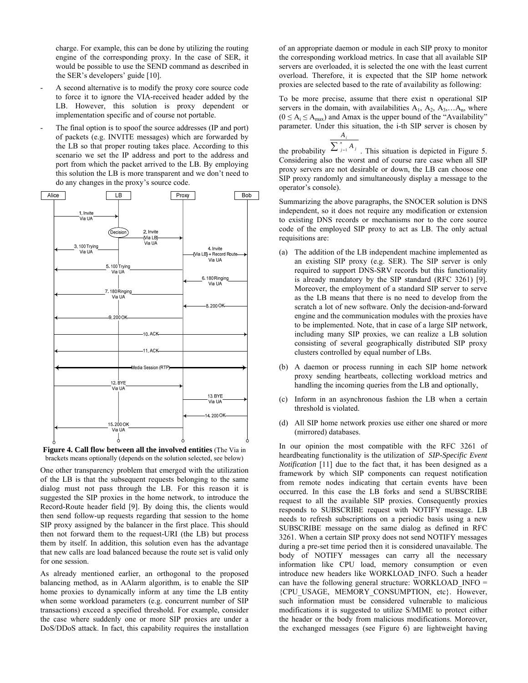charge. For example, this can be done by utilizing the routing engine of the corresponding proxy. In the case of SER, it would be possible to use the SEND command as described in the SER's developers' guide [10].

- A second alternative is to modify the proxy core source code to force it to ignore the VIA-received header added by the LB. However, this solution is proxy dependent or implementation specific and of course not portable.
- The final option is to spoof the source addresses (IP and port) of packets (e.g. INVITE messages) which are forwarded by the LB so that proper routing takes place. According to this scenario we set the IP address and port to the address and port from which the packet arrived to the LB. By employing this solution the LB is more transparent and we don't need to do any changes in the proxy's source code.





One other transparency problem that emerged with the utilization of the LB is that the subsequent requests belonging to the same dialog must not pass through the LB. For this reason it is suggested the SIP proxies in the home network, to introduce the Record-Route header field [9]. By doing this, the clients would then send follow-up requests regarding that session to the home SIP proxy assigned by the balancer in the first place. This should then not forward them to the request-URI (the LB) but process them by itself. In addition, this solution even has the advantage that new calls are load balanced because the route set is valid only for one session.

As already mentioned earlier, an orthogonal to the proposed balancing method, as in AAlarm algorithm, is to enable the SIP home proxies to dynamically inform at any time the LB entity when some workload parameters (e.g. concurrent number of SIP transactions) exceed a specified threshold. For example, consider the case where suddenly one or more SIP proxies are under a DoS/DDoS attack. In fact, this capability requires the installation

of an appropriate daemon or module in each SIP proxy to monitor the corresponding workload metrics. In case that all available SIP servers are overloaded, it is selected the one with the least current overload. Therefore, it is expected that the SIP home network proxies are selected based to the rate of availability as following:

To be more precise, assume that there exist n operational SIP servers in the domain, with availabilities  $A_1$ ,  $A_2$ ,  $A_3$ ,... $A_n$ , where  $(0 \le A_i \le A_{max})$  and Amax is the upper bound of the "Availability" parameter. Under this situation, the i-th SIP server is chosen by

the probability  $\sum_{j=1}^{n} A_j$ . This situation is depicted in Figure 5. *i A* Considering also the worst and of course rare case when all SIP proxy servers are not desirable or down, the LB can choose one SIP proxy randomly and simultaneously display a message to the operator's console).

Summarizing the above paragraphs, the SNOCER solution is DNS independent, so it does not require any modification or extension to existing DNS records or mechanisms nor to the core source code of the employed SIP proxy to act as LB. The only actual requisitions are:

- (a) The addition of the LB independent machine implemented as an existing SIP proxy (e.g. SER). The SIP server is only required to support DNS-SRV records but this functionality is already mandatory by the SIP standard (RFC 3261) [9]. Moreover, the employment of a standard SIP server to serve as the LB means that there is no need to develop from the scratch a lot of new software. Only the decision-and-forward engine and the communication modules with the proxies have to be implemented. Note, that in case of a large SIP network, including many SIP proxies, we can realize a LB solution consisting of several geographically distributed SIP proxy clusters controlled by equal number of LBs.
- (b) A daemon or process running in each SIP home network proxy sending heartbeats, collecting workload metrics and handling the incoming queries from the LB and optionally,
- (c) Inform in an asynchronous fashion the LB when a certain threshold is violated.
- (d) All SIP home network proxies use either one shared or more (mirrored) databases.

In our opinion the most compatible with the RFC 3261 of heardbeating functionality is the utilization of *SIP-Specific Event Notification* [11] due to the fact that, it has been designed as a framework by which SIP components can request notification from remote nodes indicating that certain events have been occurred. In this case the LB forks and send a SUBSCRIBE request to all the available SIP proxies. Consequently proxies responds to SUBSCRIBE request with NOTIFY message. LB needs to refresh subscriptions on a periodic basis using a new SUBSCRIBE message on the same dialog as defined in RFC 3261. When a certain SIP proxy does not send NOTIFY messages during a pre-set time period then it is considered unavailable. The body of NOTIFY messages can carry all the necessary information like CPU load, memory consumption or even introduce new headers like WORKLOAD\_INFO. Such a header can have the following general structure: WORKLOAD\_INFO = {CPU\_USAGE, MEMORY\_CONSUMPTION, etc}. However, such information must be considered vulnerable to malicious modifications it is suggested to utilize S/MIME to protect either the header or the body from malicious modifications. Moreover, the exchanged messages (see Figure 6) are lightweight having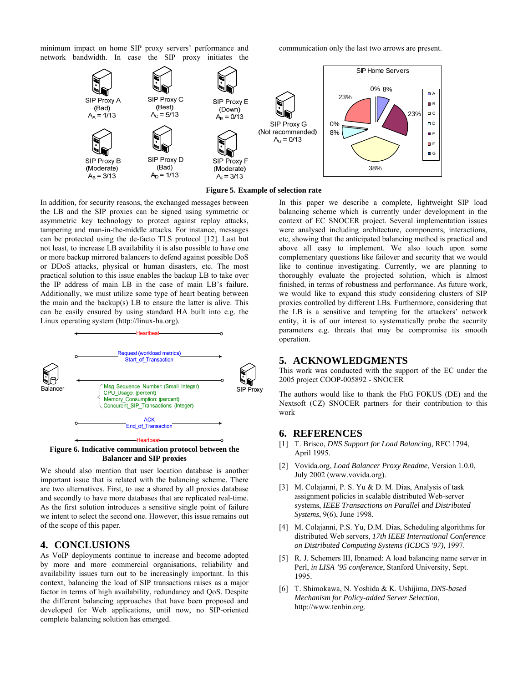minimum impact on home SIP proxy servers' performance and network bandwidth. In case the SIP proxy initiates the communication only the last two arrows are present.





In addition, for security reasons, the exchanged messages between the LB and the SIP proxies can be signed using symmetric or asymmetric key technology to protect against replay attacks, tampering and man-in-the-middle attacks. For instance, messages can be protected using the de-facto TLS protocol [12]. Last but not least, to increase LB availability it is also possible to have one or more backup mirrored balancers to defend against possible DoS or DDoS attacks, physical or human disasters, etc. The most practical solution to this issue enables the backup LB to take over the IP address of main LB in the case of main LB's failure. Additionally, we must utilize some type of heart beating between the main and the backup(s) LB to ensure the latter is alive. This can be easily ensured by using standard HA built into e.g. the Linux operating system (http://linux-ha.org).



**Figure 6. Indicative communication protocol between the Balancer and SIP proxies** 

We should also mention that user location database is another important issue that is related with the balancing scheme. There are two alternatives. First, to use a shared by all proxies database and secondly to have more databases that are replicated real-time. As the first solution introduces a sensitive single point of failure we intent to select the second one. However, this issue remains out of the scope of this paper.

### **4. CONCLUSIONS**

As VoIP deployments continue to increase and become adopted by more and more commercial organisations, reliability and availability issues turn out to be increasingly important. In this context, balancing the load of SIP transactions raises as a major factor in terms of high availability, redundancy and QoS. Despite the different balancing approaches that have been proposed and developed for Web applications, until now, no SIP-oriented complete balancing solution has emerged.

In this paper we describe a complete, lightweight SIP load balancing scheme which is currently under development in the context of EC SNOCER project. Several implementation issues were analysed including architecture, components, interactions, etc, showing that the anticipated balancing method is practical and above all easy to implement. We also touch upon some complementary questions like failover and security that we would like to continue investigating. Currently, we are planning to thoroughly evaluate the projected solution, which is almost finished, in terms of robustness and performance. As future work, we would like to expand this study considering clusters of SIP proxies controlled by different LBs. Furthermore, considering that the LB is a sensitive and tempting for the attackers' network entity, it is of our interest to systematically probe the security parameters e.g. threats that may be compromise its smooth operation.

### **5. ACKNOWLEDGMENTS**

This work was conducted with the support of the EC under the 2005 project COOP-005892 - SNOCER

The authors would like to thank the FhG FOKUS (DE) and the Nextsoft (CZ) SNOCER partners for their contribution to this work

### **6. REFERENCES**

- [1] T. Brisco, *DNS Support for Load Balancing*, RFC 1794, April 1995.
- [2] Vovida.org, *Load Balancer Proxy Readme*, Version 1.0.0, July 2002 (www.vovida.org).
- [3] M. Colajanni, P. S. Yu & D. M. Dias, Analysis of task assignment policies in scalable distributed Web-server systems, *IEEE Transactions on Parallel and Distributed Systems*, 9(6), June 1998.
- [4] M. Colajanni, P.S. Yu, D.M. Dias, Scheduling algorithms for distributed Web servers, *17th IEEE International Conference on Distributed Computing Systems (ICDCS '97)*, 1997.
- [5] R. J. Schemers III, Ibnamed: A load balancing name server in Perl, *in LISA '95 conference*, Stanford University, Sept. 1995.
- [6] T. Shimokawa, N. Yoshida & K. Ushijima, *DNS-based Mechanism for Policy-added Server Selection*, http://www.tenbin.org.